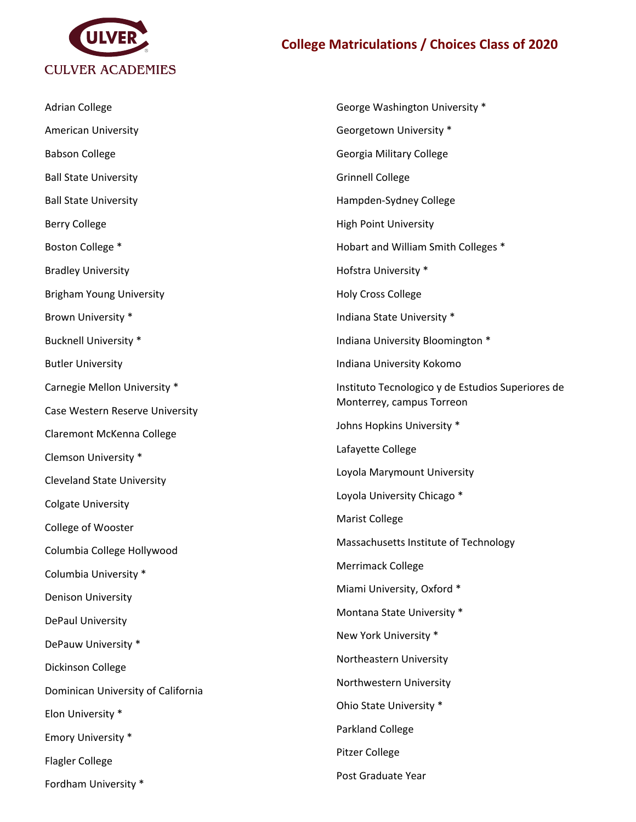

## **College Matriculations / Choices Class of 2020**

| <b>Adrian College</b>              | George Washington University *                    |
|------------------------------------|---------------------------------------------------|
| <b>American University</b>         | Georgetown University *                           |
| <b>Babson College</b>              | Georgia Military College                          |
| <b>Ball State University</b>       | <b>Grinnell College</b>                           |
| <b>Ball State University</b>       | Hampden-Sydney College                            |
| <b>Berry College</b>               | <b>High Point University</b>                      |
| Boston College *                   | Hobart and William Smith Colleges *               |
| <b>Bradley University</b>          | Hofstra University *                              |
| <b>Brigham Young University</b>    | <b>Holy Cross College</b>                         |
| Brown University *                 | Indiana State University *                        |
| <b>Bucknell University *</b>       | Indiana University Bloomington *                  |
| <b>Butler University</b>           | Indiana University Kokomo                         |
| Carnegie Mellon University *       | Instituto Tecnologico y de Estudios Superiores de |
| Case Western Reserve University    | Monterrey, campus Torreon                         |
| Claremont McKenna College          | Johns Hopkins University *                        |
| Clemson University *               | Lafayette College                                 |
| <b>Cleveland State University</b>  | Loyola Marymount University                       |
| <b>Colgate University</b>          | Loyola University Chicago *                       |
| College of Wooster                 | <b>Marist College</b>                             |
| Columbia College Hollywood         | Massachusetts Institute of Technology             |
| Columbia University *              | Merrimack College                                 |
| <b>Denison University</b>          | Miami University, Oxford *                        |
| DePaul University                  | Montana State University *                        |
| DePauw University *                | New York University *                             |
| Dickinson College                  | Northeastern University                           |
| Dominican University of California | Northwestern University                           |
| Elon University *                  | Ohio State University *                           |
| Emory University *                 | Parkland College                                  |
| <b>Flagler College</b>             | <b>Pitzer College</b>                             |
| Fordham University *               | Post Graduate Year                                |